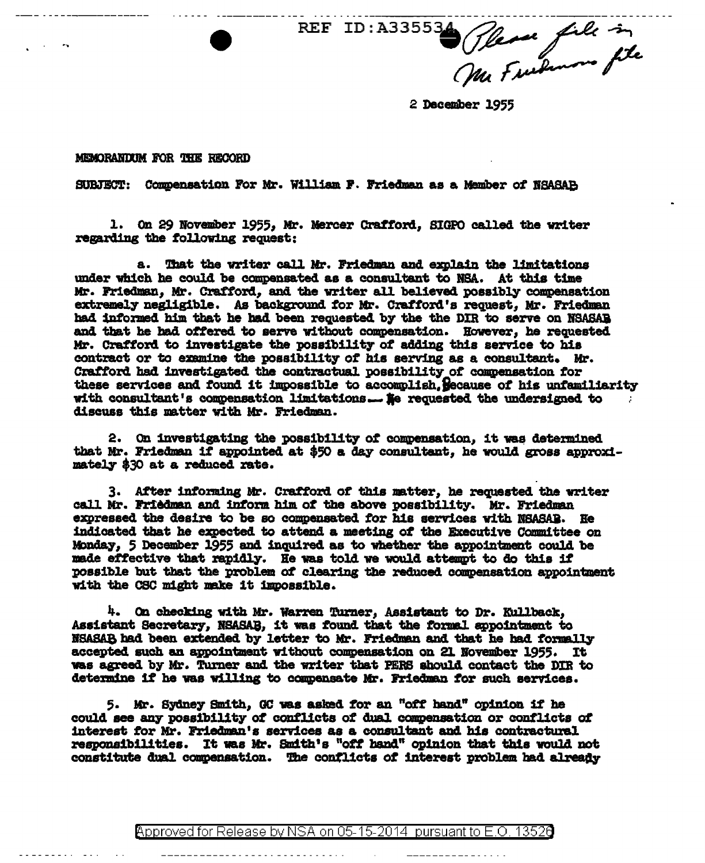Offere file in **REF ID: A33553** 

2 December 1955

MEMORANTUM FOR THE RECORD

SUBJECT: Compensation For Mr. William F. Friedman as a Member of NSASAB

1. On 29 November 1955, Mr. Mercer Crafford, SIGPO called the writer regarding the following request:

a. That the writer call Mr. Friedman and explain the limitations under which he could be compensated as a consultant to NSA. At this time Mr. Friedman, Mr. Crafford, and the writer all believed possibly compensation extremely negligible. As background for Mr. Crafford's request, Mr. Friedman had informed him that he had been requested by the the DIR to serve on NSASAB and that he had offered to serve without compensation. However, he requested Mr. Crafford to investigate the possibility of adding this service to his contract or to examine the possibility of his serving as a consultant. Mr. Crafford had investigated the contractual possibility of compensation for these services and found it impossible to accomplish. Secause of his unfamiliarity with consultant's compensation limitations... Se requested the undersigned to discuss this matter with Mr. Friedman.

2. On investigating the possibility of compensation, it was determined that Mr. Friedman if appointed at \$50 a day consultant, he would gross approximately \$30 at a reduced rate.

3. After informing Mr. Crafford of this matter, he requested the writer call Mr. Friedman and inform him of the above possibility. Mr. Friedman expressed the desire to be so compensated for his services with NSASAB. He indicated that he expected to attend a meeting of the Executive Committee on Monday, 5 December 1955 and inquired as to whether the appointment could be made effective that rapidly. He was told we would attempt to do this if possible but that the problem of clearing the reduced compensation appointment with the CSC might make it impossible.

4. On checking with Mr. Warren Turner, Assistant to Dr. Kullback. Assistant Secretary, NSASAB, it was found that the formal appointment to NSASAB had been extended by letter to Mr. Friedman and that he had formally accepted such an appointment without compensation on 21 November 1955. It was agreed by Mr. Turner and the writer that PERS should contact the DIR to determine if he was willing to compensate Mr. Friedman for such services.

5. Mr. Sydney Smith, GC was asked for an "off hand" opinion if he could see any possibility of conflicts of dual compensation or conflicts of interest for Mr. Friedman's services as a consultant and his contractural responsibilities. It was Mr. Smith's "off hand" opinion that this would not constitute dual compensation. The conflicts of interest problem had already